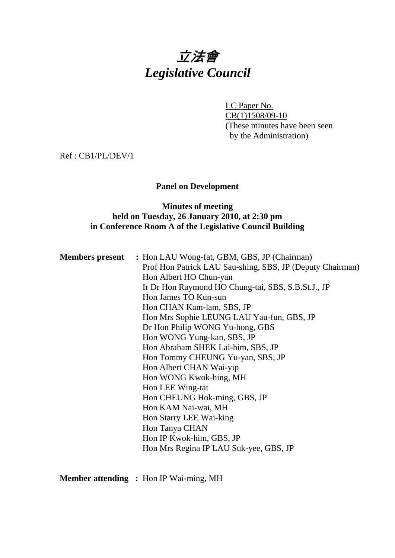# 立法會 *Legislative Council*

LC Paper No. CB(1)1508/09-10 (These minutes have been seen by the Administration)

Ref : CB1/PL/DEV/1

## **Panel on Development**

## **Minutes of meeting held on Tuesday, 26 January 2010, at 2:30 pm in Conference Room A of the Legislative Council Building**

| <b>Members present</b> : Hon LAU Wong-fat, GBM, GBS, JP (Chairman) |
|--------------------------------------------------------------------|
| Prof Hon Patrick LAU Sau-shing, SBS, JP (Deputy Chairman)          |
| Hon Albert HO Chun-yan                                             |
| Ir Dr Hon Raymond HO Chung-tai, SBS, S.B.St.J., JP                 |
| Hon James TO Kun-sun                                               |
| Hon CHAN Kam-lam, SBS, JP                                          |
| Hon Mrs Sophie LEUNG LAU Yau-fun, GBS, JP                          |
| Dr Hon Philip WONG Yu-hong, GBS                                    |
| Hon WONG Yung-kan, SBS, JP                                         |
| Hon Abraham SHEK Lai-him, SBS, JP                                  |
| Hon Tommy CHEUNG Yu-yan, SBS, JP                                   |
| Hon Albert CHAN Wai-yip                                            |
| Hon WONG Kwok-hing, MH                                             |
| Hon LEE Wing-tat                                                   |
| Hon CHEUNG Hok-ming, GBS, JP                                       |
| Hon KAM Nai-wai, MH                                                |
| Hon Starry LEE Wai-king                                            |
| Hon Tanya CHAN                                                     |
| Hon IP Kwok-him, GBS, JP                                           |
| Hon Mrs Regina IP LAU Suk-yee, GBS, JP                             |
|                                                                    |

**Member attending :** Hon IP Wai-ming, MH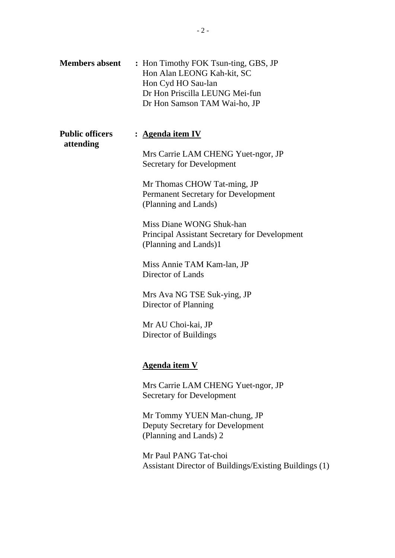| <b>Members absent</b>               | : Hon Timothy FOK Tsun-ting, GBS, JP<br>Hon Alan LEONG Kah-kit, SC<br>Hon Cyd HO Sau-lan<br>Dr Hon Priscilla LEUNG Mei-fun<br>Dr Hon Samson TAM Wai-ho, JP |
|-------------------------------------|------------------------------------------------------------------------------------------------------------------------------------------------------------|
| <b>Public officers</b><br>attending | : Agenda item IV                                                                                                                                           |
|                                     | Mrs Carrie LAM CHENG Yuet-ngor, JP<br><b>Secretary for Development</b>                                                                                     |
|                                     | Mr Thomas CHOW Tat-ming, JP<br>Permanent Secretary for Development<br>(Planning and Lands)                                                                 |
|                                     | Miss Diane WONG Shuk-han<br><b>Principal Assistant Secretary for Development</b><br>(Planning and Lands)1                                                  |
|                                     | Miss Annie TAM Kam-lan, JP<br>Director of Lands                                                                                                            |
|                                     | Mrs Ava NG TSE Suk-ying, JP<br>Director of Planning                                                                                                        |
|                                     | Mr AU Choi-kai, JP<br>Director of Buildings                                                                                                                |
|                                     | <b>Agenda item V</b>                                                                                                                                       |
|                                     | Mrs Carrie LAM CHENG Yuet-ngor, JP<br><b>Secretary for Development</b>                                                                                     |
|                                     | Mr Tommy YUEN Man-chung, JP<br>Deputy Secretary for Development<br>(Planning and Lands) 2                                                                  |
|                                     | Mr Paul PANG Tat-choi<br>Assistant Director of Buildings/Existing Buildings (1)                                                                            |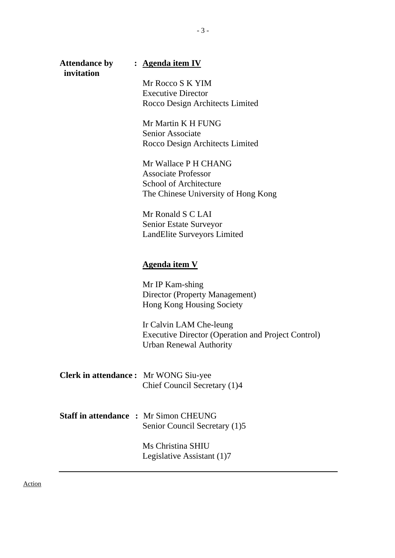**invitation** 

#### **Attendance by : Agenda item IV**

Mr Rocco S K YIM Executive Director Rocco Design Architects Limited

Mr Martin K H FUNG Senior Associate Rocco Design Architects Limited

Mr Wallace P H CHANG Associate Professor School of Architecture The Chinese University of Hong Kong

Mr Ronald S C LAI Senior Estate Surveyor LandElite Surveyors Limited

#### **Agenda item V**

Mr IP Kam-shing Director (Property Management) Hong Kong Housing Society

Ir Calvin LAM Che-leung Executive Director (Operation and Project Control) Urban Renewal Authority

**Clerk in attendance :** Mr WONG Siu-yee Chief Council Secretary (1)4

**Staff in attendance :** Mr Simon CHEUNG Senior Council Secretary (1)5

> Ms Christina SHIU Legislative Assistant (1)7

Action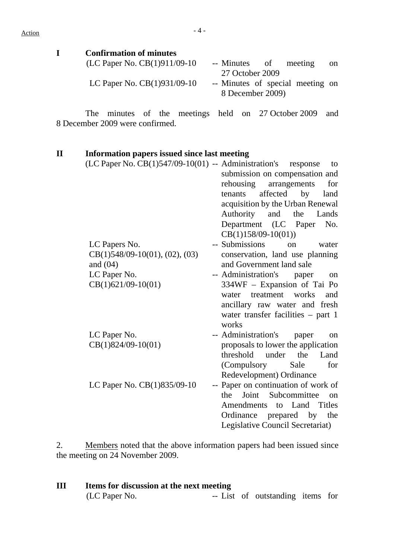## $Action$

| <b>Confirmation of minutes</b> |                                                      |
|--------------------------------|------------------------------------------------------|
| (LC Paper No. $CB(1)911/09-10$ | -- Minutes of meeting<br><sub>on</sub>               |
|                                | 27 October 2009                                      |
| LC Paper No. $CB(1)931/09-10$  | -- Minutes of special meeting on<br>8 December 2009) |

 The minutes of the meetings held on 27 October 2009 and 8 December 2009 were confirmed.

## **II Information papers issued since last meeting**

| $(LC$ Paper No. $CB(1)547/09-10(01)$ -- Administration's response | to                                       |
|-------------------------------------------------------------------|------------------------------------------|
|                                                                   | submission on compensation and           |
|                                                                   | rehousing<br>arrangements<br>for         |
|                                                                   | affected<br>by<br>tenants<br>land        |
|                                                                   | acquisition by the Urban Renewal         |
|                                                                   | Authority<br>and the<br>Lands            |
|                                                                   | Department (LC Paper<br>No.              |
|                                                                   | $CB(1)158/09-10(01))$                    |
| LC Papers No.                                                     | -- Submissions<br>$\alpha$<br>water      |
| $CB(1)548/09-10(01), (02), (03)$                                  | conservation, land use planning          |
| and $(04)$                                                        | and Government land sale                 |
| LC Paper No.                                                      | -- Administration's paper<br>on          |
| $CB(1)621/09-10(01)$                                              | 334WF - Expansion of Tai Po              |
|                                                                   | water treatment<br>works<br>and          |
|                                                                   | ancillary raw water and fresh            |
|                                                                   | water transfer facilities $-$ part 1     |
|                                                                   | works                                    |
| LC Paper No.                                                      | -- Administration's<br>paper<br>on       |
| $CB(1)824/09-10(01)$                                              | proposals to lower the application       |
|                                                                   | threshold under<br>the<br>Land           |
|                                                                   | for<br>(Compulsory<br>Sale               |
|                                                                   | Redevelopment) Ordinance                 |
| LC Paper No. CB(1)835/09-10                                       | -- Paper on continuation of work of      |
|                                                                   | Joint Subcommittee<br>the<br>$_{\rm on}$ |
|                                                                   | Amendments to Land Titles                |
|                                                                   | Ordinance prepared by the                |
|                                                                   | Legislative Council Secretariat)         |

2. Members noted that the above information papers had been issued since the meeting on 24 November 2009.

| Ш | Items for discussion at the next meeting |  |  |                                  |  |  |  |
|---|------------------------------------------|--|--|----------------------------------|--|--|--|
|   | (LC Paper No.                            |  |  | -- List of outstanding items for |  |  |  |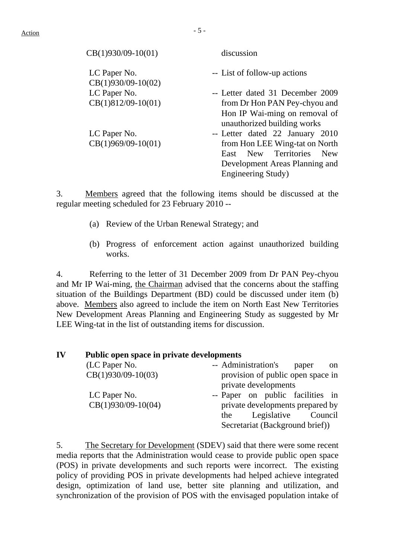| $CB(1)930/09-10(01)$                 | discussion                                                                                                         |
|--------------------------------------|--------------------------------------------------------------------------------------------------------------------|
| LC Paper No.<br>$CB(1)930/09-10(02)$ | -- List of follow-up actions                                                                                       |
| LC Paper No.                         | -- Letter dated 31 December 2009                                                                                   |
| $CB(1)812/09-10(01)$                 | from Dr Hon PAN Pey-chyou and                                                                                      |
|                                      | Hon IP Wai-ming on removal of<br>unauthorized building works                                                       |
| LC Paper No.                         | -- Letter dated 22 January 2010                                                                                    |
| $CB(1)969/09-10(01)$                 | from Hon LEE Wing-tat on North<br>East New Territories New<br>Development Areas Planning and<br>Engineering Study) |

3. Members agreed that the following items should be discussed at the regular meeting scheduled for 23 February 2010 --

- (a) Review of the Urban Renewal Strategy; and
- (b) Progress of enforcement action against unauthorized building works.

4. Referring to the letter of 31 December 2009 from Dr PAN Pey-chyou and Mr IP Wai-ming, the Chairman advised that the concerns about the staffing situation of the Buildings Department (BD) could be discussed under item (b) above. Members also agreed to include the item on North East New Territories New Development Areas Planning and Engineering Study as suggested by Mr LEE Wing-tat in the list of outstanding items for discussion.

#### **IV Public open space in private developments**

| (LC Paper No.        | -- Administration's<br>paper<br><sub>on</sub> |
|----------------------|-----------------------------------------------|
| $CB(1)930/09-10(03)$ | provision of public open space in             |
|                      | private developments                          |
| LC Paper No.         | -- Paper on public facilities in              |
| $CB(1)930/09-10(04)$ | private developments prepared by              |
|                      | Legislative<br>Council<br>the                 |
|                      | Secretariat (Background brief))               |

5. The Secretary for Development (SDEV) said that there were some recent media reports that the Administration would cease to provide public open space (POS) in private developments and such reports were incorrect. The existing policy of providing POS in private developments had helped achieve integrated design, optimization of land use, better site planning and utilization, and synchronization of the provision of POS with the envisaged population intake of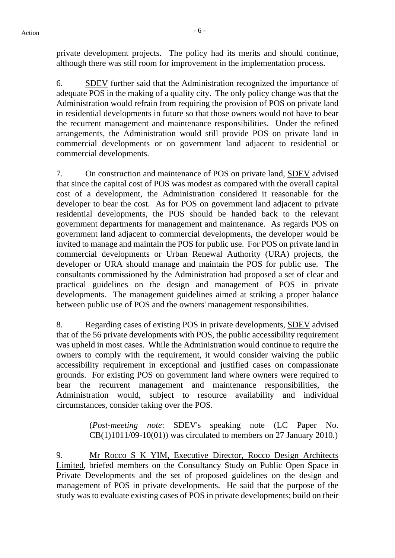private development projects. The policy had its merits and should continue, although there was still room for improvement in the implementation process.

6. SDEV further said that the Administration recognized the importance of adequate POS in the making of a quality city. The only policy change was that the Administration would refrain from requiring the provision of POS on private land in residential developments in future so that those owners would not have to bear the recurrent management and maintenance responsibilities. Under the refined arrangements, the Administration would still provide POS on private land in commercial developments or on government land adjacent to residential or commercial developments.

7. On construction and maintenance of POS on private land, SDEV advised that since the capital cost of POS was modest as compared with the overall capital cost of a development, the Administration considered it reasonable for the developer to bear the cost. As for POS on government land adjacent to private residential developments, the POS should be handed back to the relevant government departments for management and maintenance. As regards POS on government land adjacent to commercial developments, the developer would be invited to manage and maintain the POS for public use. For POS on private land in commercial developments or Urban Renewal Authority (URA) projects, the developer or URA should manage and maintain the POS for public use. The consultants commissioned by the Administration had proposed a set of clear and practical guidelines on the design and management of POS in private developments. The management guidelines aimed at striking a proper balance between public use of POS and the owners' management responsibilities.

8. Regarding cases of existing POS in private developments, SDEV advised that of the 56 private developments with POS, the public accessibility requirement was upheld in most cases. While the Administration would continue to require the owners to comply with the requirement, it would consider waiving the public accessibility requirement in exceptional and justified cases on compassionate grounds. For existing POS on government land where owners were required to bear the recurrent management and maintenance responsibilities, Administration would, subject to resource availability and individual circumstances, consider taking over the POS.

> (*Post-meeting note*: SDEV's speaking note (LC Paper No.  $CB(1)1011/09-10(01)$  was circulated to members on 27 January 2010.)

9. Mr Rocco S K YIM, Executive Director, Rocco Design Architects Limited, briefed members on the Consultancy Study on Public Open Space in Private Developments and the set of proposed guidelines on the design and management of POS in private developments. He said that the purpose of the study was to evaluate existing cases of POS in private developments; build on their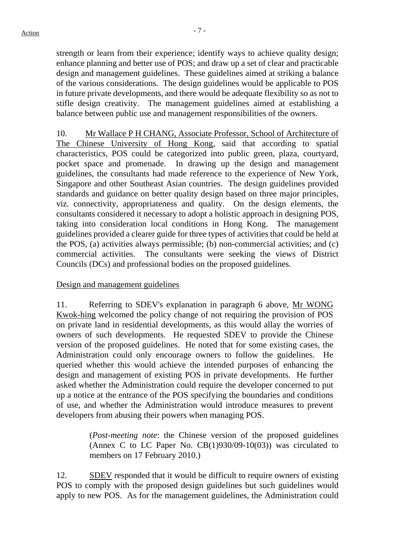strength or learn from their experience; identify ways to achieve quality design; enhance planning and better use of POS; and draw up a set of clear and practicable design and management guidelines. These guidelines aimed at striking a balance of the various considerations. The design guidelines would be applicable to POS in future private developments, and there would be adequate flexibility so as not to stifle design creativity. The management guidelines aimed at establishing a balance between public use and management responsibilities of the owners.

10. Mr Wallace P H CHANG, Associate Professor, School of Architecture of The Chinese University of Hong Kong, said that according to spatial characteristics, POS could be categorized into public green, plaza, courtyard, pocket space and promenade. In drawing up the design and management guidelines, the consultants had made reference to the experience of New York, Singapore and other Southeast Asian countries. The design guidelines provided standards and guidance on better quality design based on three major principles, viz. connectivity, appropriateness and quality. On the design elements, the consultants considered it necessary to adopt a holistic approach in designing POS, taking into consideration local conditions in Hong Kong. The management guidelines provided a clearer guide for three types of activities that could be held at the POS, (a) activities always permissible; (b) non-commercial activities; and (c) commercial activities. The consultants were seeking the views of District Councils (DCs) and professional bodies on the proposed guidelines.

Design and management guidelines

11. Referring to SDEV's explanation in paragraph 6 above, Mr WONG Kwok-hing welcomed the policy change of not requiring the provision of POS on private land in residential developments, as this would allay the worries of owners of such developments. He requested SDEV to provide the Chinese version of the proposed guidelines. He noted that for some existing cases, the Administration could only encourage owners to follow the guidelines. He queried whether this would achieve the intended purposes of enhancing the design and management of existing POS in private developments. He further asked whether the Administration could require the developer concerned to put up a notice at the entrance of the POS specifying the boundaries and conditions of use, and whether the Administration would introduce measures to prevent developers from abusing their powers when managing POS.

> (*Post-meeting note*: the Chinese version of the proposed guidelines (Annex C to LC Paper No.  $CB(1)930/09-10(03)$ ) was circulated to members on 17 February 2010.)

12. SDEV responded that it would be difficult to require owners of existing POS to comply with the proposed design guidelines but such guidelines would apply to new POS. As for the management guidelines, the Administration could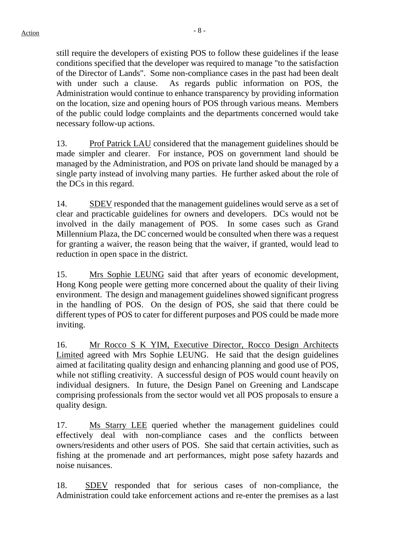still require the developers of existing POS to follow these guidelines if the lease conditions specified that the developer was required to manage "to the satisfaction of the Director of Lands". Some non-compliance cases in the past had been dealt with under such a clause. As regards public information on POS, the Administration would continue to enhance transparency by providing information on the location, size and opening hours of POS through various means. Members of the public could lodge complaints and the departments concerned would take necessary follow-up actions.

13. Prof Patrick LAU considered that the management guidelines should be made simpler and clearer. For instance, POS on government land should be managed by the Administration, and POS on private land should be managed by a single party instead of involving many parties. He further asked about the role of the DCs in this regard.

14. SDEV responded that the management guidelines would serve as a set of clear and practicable guidelines for owners and developers. DCs would not be involved in the daily management of POS. In some cases such as Grand Millennium Plaza, the DC concerned would be consulted when there was a request for granting a waiver, the reason being that the waiver, if granted, would lead to reduction in open space in the district.

15. Mrs Sophie LEUNG said that after years of economic development, Hong Kong people were getting more concerned about the quality of their living environment. The design and management guidelines showed significant progress in the handling of POS. On the design of POS, she said that there could be different types of POS to cater for different purposes and POS could be made more inviting.

16. Mr Rocco S K YIM, Executive Director, Rocco Design Architects Limited agreed with Mrs Sophie LEUNG. He said that the design guidelines aimed at facilitating quality design and enhancing planning and good use of POS, while not stifling creativity. A successful design of POS would count heavily on individual designers. In future, the Design Panel on Greening and Landscape comprising professionals from the sector would vet all POS proposals to ensure a quality design.

17. Ms Starry LEE queried whether the management guidelines could effectively deal with non-compliance cases and the conflicts between owners/residents and other users of POS. She said that certain activities, such as fishing at the promenade and art performances, might pose safety hazards and noise nuisances.

18. SDEV responded that for serious cases of non-compliance, the Administration could take enforcement actions and re-enter the premises as a last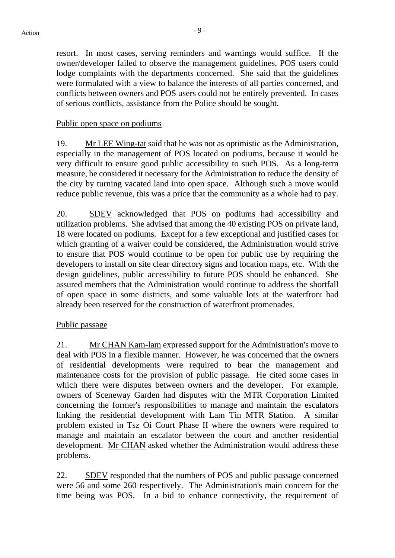resort. In most cases, serving reminders and warnings would suffice. If the owner/developer failed to observe the management guidelines, POS users could lodge complaints with the departments concerned. She said that the guidelines were formulated with a view to balance the interests of all parties concerned, and conflicts between owners and POS users could not be entirely prevented. In cases of serious conflicts, assistance from the Police should be sought.

#### Public open space on podiums

19. Mr LEE Wing-tat said that he was not as optimistic as the Administration, especially in the management of POS located on podiums, because it would be very difficult to ensure good public accessibility to such POS. As a long-term measure, he considered it necessary for the Administration to reduce the density of the city by turning vacated land into open space. Although such a move would reduce public revenue, this was a price that the community as a whole had to pay.

20. SDEV acknowledged that POS on podiums had accessibility and utilization problems. She advised that among the 40 existing POS on private land, 18 were located on podiums. Except for a few exceptional and justified cases for which granting of a waiver could be considered, the Administration would strive to ensure that POS would continue to be open for public use by requiring the developers to install on site clear directory signs and location maps, etc. With the design guidelines, public accessibility to future POS should be enhanced. She assured members that the Administration would continue to address the shortfall of open space in some districts, and some valuable lots at the waterfront had already been reserved for the construction of waterfront promenades.

#### Public passage

21. Mr CHAN Kam-lam expressed support for the Administration's move to deal with POS in a flexible manner. However, he was concerned that the owners of residential developments were required to bear the management and maintenance costs for the provision of public passage. He cited some cases in which there were disputes between owners and the developer. For example, owners of Sceneway Garden had disputes with the MTR Corporation Limited concerning the former's responsibilities to manage and maintain the escalators linking the residential development with Lam Tin MTR Station. A similar problem existed in Tsz Oi Court Phase II where the owners were required to manage and maintain an escalator between the court and another residential development. Mr CHAN asked whether the Administration would address these problems.

22. SDEV responded that the numbers of POS and public passage concerned were 56 and some 260 respectively. The Administration's main concern for the time being was POS. In a bid to enhance connectivity, the requirement of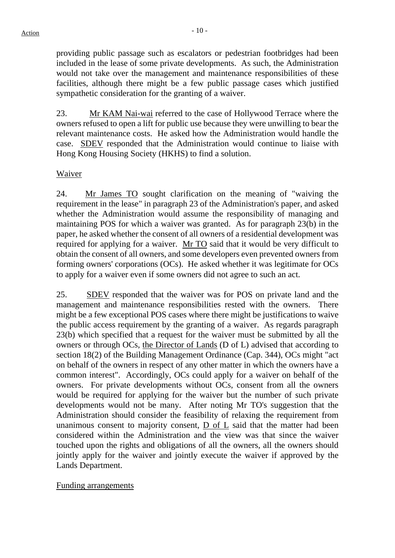providing public passage such as escalators or pedestrian footbridges had been included in the lease of some private developments. As such, the Administration would not take over the management and maintenance responsibilities of these facilities, although there might be a few public passage cases which justified sympathetic consideration for the granting of a waiver.

23. Mr KAM Nai-wai referred to the case of Hollywood Terrace where the owners refused to open a lift for public use because they were unwilling to bear the relevant maintenance costs. He asked how the Administration would handle the case. SDEV responded that the Administration would continue to liaise with Hong Kong Housing Society (HKHS) to find a solution.

#### Waiver

24. Mr James TO sought clarification on the meaning of "waiving the requirement in the lease" in paragraph 23 of the Administration's paper, and asked whether the Administration would assume the responsibility of managing and maintaining POS for which a waiver was granted. As for paragraph 23(b) in the paper, he asked whether the consent of all owners of a residential development was required for applying for a waiver. Mr TO said that it would be very difficult to obtain the consent of all owners, and some developers even prevented owners from forming owners' corporations (OCs). He asked whether it was legitimate for OCs to apply for a waiver even if some owners did not agree to such an act.

25. SDEV responded that the waiver was for POS on private land and the management and maintenance responsibilities rested with the owners. There might be a few exceptional POS cases where there might be justifications to waive the public access requirement by the granting of a waiver. As regards paragraph 23(b) which specified that a request for the waiver must be submitted by all the owners or through OCs, the Director of Lands (D of L) advised that according to section 18(2) of the Building Management Ordinance (Cap. 344), OCs might "act on behalf of the owners in respect of any other matter in which the owners have a common interest". Accordingly, OCs could apply for a waiver on behalf of the owners. For private developments without OCs, consent from all the owners would be required for applying for the waiver but the number of such private developments would not be many. After noting Mr TO's suggestion that the Administration should consider the feasibility of relaxing the requirement from unanimous consent to majority consent, D of L said that the matter had been considered within the Administration and the view was that since the waiver touched upon the rights and obligations of all the owners, all the owners should jointly apply for the waiver and jointly execute the waiver if approved by the Lands Department.

Funding arrangements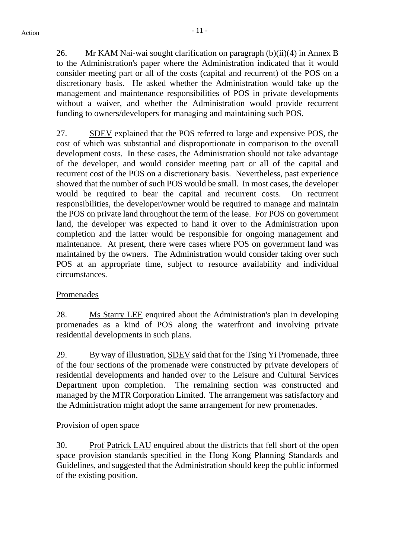26. Mr KAM Nai-wai sought clarification on paragraph (b)(ii)(4) in Annex B to the Administration's paper where the Administration indicated that it would consider meeting part or all of the costs (capital and recurrent) of the POS on a discretionary basis. He asked whether the Administration would take up the management and maintenance responsibilities of POS in private developments without a waiver, and whether the Administration would provide recurrent funding to owners/developers for managing and maintaining such POS.

27. SDEV explained that the POS referred to large and expensive POS, the cost of which was substantial and disproportionate in comparison to the overall development costs. In these cases, the Administration should not take advantage of the developer, and would consider meeting part or all of the capital and recurrent cost of the POS on a discretionary basis. Nevertheless, past experience showed that the number of such POS would be small. In most cases, the developer would be required to bear the capital and recurrent costs. On recurrent responsibilities, the developer/owner would be required to manage and maintain the POS on private land throughout the term of the lease. For POS on government land, the developer was expected to hand it over to the Administration upon completion and the latter would be responsible for ongoing management and maintenance. At present, there were cases where POS on government land was maintained by the owners. The Administration would consider taking over such POS at an appropriate time, subject to resource availability and individual circumstances.

#### Promenades

28. Ms Starry LEE enquired about the Administration's plan in developing promenades as a kind of POS along the waterfront and involving private residential developments in such plans.

29. By way of illustration, **SDEV** said that for the Tsing Yi Promenade, three of the four sections of the promenade were constructed by private developers of residential developments and handed over to the Leisure and Cultural Services Department upon completion. The remaining section was constructed and managed by the MTR Corporation Limited. The arrangement was satisfactory and the Administration might adopt the same arrangement for new promenades.

#### Provision of open space

30. Prof Patrick LAU enquired about the districts that fell short of the open space provision standards specified in the Hong Kong Planning Standards and Guidelines, and suggested that the Administration should keep the public informed of the existing position.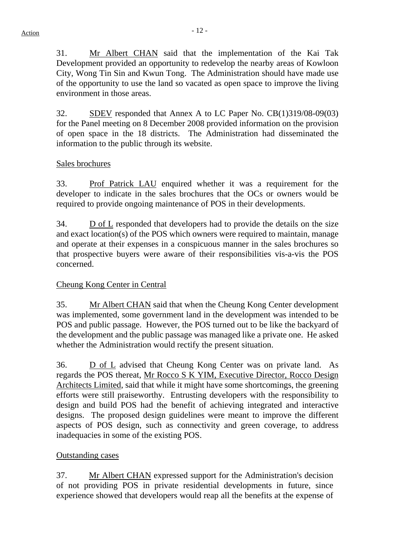31. Mr Albert CHAN said that the implementation of the Kai Tak Development provided an opportunity to redevelop the nearby areas of Kowloon City, Wong Tin Sin and Kwun Tong. The Administration should have made use of the opportunity to use the land so vacated as open space to improve the living environment in those areas.

32. SDEV responded that Annex A to LC Paper No. CB(1)319/08-09(03) for the Panel meeting on 8 December 2008 provided information on the provision of open space in the 18 districts. The Administration had disseminated the information to the public through its website.

#### Sales brochures

33. Prof Patrick LAU enquired whether it was a requirement for the developer to indicate in the sales brochures that the OCs or owners would be required to provide ongoing maintenance of POS in their developments.

34. D of L responded that developers had to provide the details on the size and exact location(s) of the POS which owners were required to maintain, manage and operate at their expenses in a conspicuous manner in the sales brochures so that prospective buyers were aware of their responsibilities vis-a-vis the POS concerned.

## Cheung Kong Center in Central

35. Mr Albert CHAN said that when the Cheung Kong Center development was implemented, some government land in the development was intended to be POS and public passage. However, the POS turned out to be like the backyard of the development and the public passage was managed like a private one. He asked whether the Administration would rectify the present situation.

36. D of L advised that Cheung Kong Center was on private land. As regards the POS thereat, Mr Rocco S K YIM, Executive Director, Rocco Design Architects Limited, said that while it might have some shortcomings, the greening efforts were still praiseworthy. Entrusting developers with the responsibility to design and build POS had the benefit of achieving integrated and interactive designs. The proposed design guidelines were meant to improve the different aspects of POS design, such as connectivity and green coverage, to address inadequacies in some of the existing POS.

#### Outstanding cases

37. Mr Albert CHAN expressed support for the Administration's decision of not providing POS in private residential developments in future, since experience showed that developers would reap all the benefits at the expense of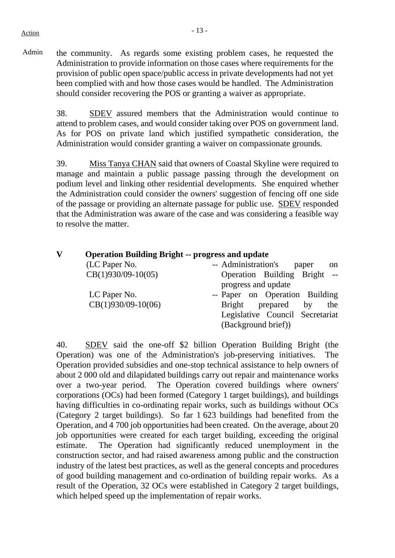Admin the community. As regards some existing problem cases, he requested the Administration to provide information on those cases where requirements for the provision of public open space/public access in private developments had not yet been complied with and how those cases would be handled. The Administration should consider recovering the POS or granting a waiver as appropriate.

> 38. SDEV assured members that the Administration would continue to attend to problem cases, and would consider taking over POS on government land. As for POS on private land which justified sympathetic consideration, the Administration would consider granting a waiver on compassionate grounds.

> 39. Miss Tanya CHAN said that owners of Coastal Skyline were required to manage and maintain a public passage passing through the development on podium level and linking other residential developments. She enquired whether the Administration could consider the owners' suggestion of fencing off one side of the passage or providing an alternate passage for public use. SDEV responded that the Administration was aware of the case and was considering a feasible way to resolve the matter.

| $\mathbf{V}$ | <b>Operation Building Bright -- progress and update</b> |                                               |  |  |  |  |
|--------------|---------------------------------------------------------|-----------------------------------------------|--|--|--|--|
|              | (LC Paper No.                                           | -- Administration's<br>paper<br><sub>on</sub> |  |  |  |  |
|              | $CB(1)930/09-10(05)$                                    | Operation Building Bright --                  |  |  |  |  |
|              |                                                         | progress and update                           |  |  |  |  |
|              | LC Paper No.                                            | -- Paper on Operation Building                |  |  |  |  |
|              | $CB(1)930/09-10(06)$                                    | Bright prepared<br>$\mathbf{b}$ v<br>the      |  |  |  |  |
|              |                                                         | Legislative Council Secretariat               |  |  |  |  |
|              |                                                         | (Background brief))                           |  |  |  |  |

40. SDEV said the one-off \$2 billion Operation Building Bright (the Operation) was one of the Administration's job-preserving initiatives. The Operation provided subsidies and one-stop technical assistance to help owners of about 2 000 old and dilapidated buildings carry out repair and maintenance works over a two-year period. The Operation covered buildings where owners' corporations (OCs) had been formed (Category 1 target buildings), and buildings having difficulties in co-ordinating repair works, such as buildings without OCs (Category 2 target buildings). So far 1 623 buildings had benefited from the Operation, and 4 700 job opportunities had been created. On the average, about 20 job opportunities were created for each target building, exceeding the original estimate. The Operation had significantly reduced unemployment in the construction sector, and had raised awareness among public and the construction industry of the latest best practices, as well as the general concepts and procedures of good building management and co-ordination of building repair works. As a result of the Operation, 32 OCs were established in Category 2 target buildings, which helped speed up the implementation of repair works.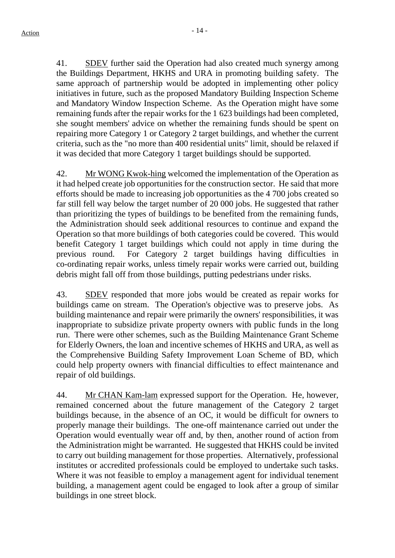41. SDEV further said the Operation had also created much synergy among the Buildings Department, HKHS and URA in promoting building safety. The same approach of partnership would be adopted in implementing other policy initiatives in future, such as the proposed Mandatory Building Inspection Scheme and Mandatory Window Inspection Scheme. As the Operation might have some remaining funds after the repair works for the 1 623 buildings had been completed, she sought members' advice on whether the remaining funds should be spent on repairing more Category 1 or Category 2 target buildings, and whether the current criteria, such as the "no more than 400 residential units" limit, should be relaxed if it was decided that more Category 1 target buildings should be supported.

42. Mr WONG Kwok-hing welcomed the implementation of the Operation as it had helped create job opportunities for the construction sector. He said that more efforts should be made to increasing job opportunities as the 4 700 jobs created so far still fell way below the target number of 20 000 jobs. He suggested that rather than prioritizing the types of buildings to be benefited from the remaining funds, the Administration should seek additional resources to continue and expand the Operation so that more buildings of both categories could be covered. This would benefit Category 1 target buildings which could not apply in time during the previous round. For Category 2 target buildings having difficulties in co-ordinating repair works, unless timely repair works were carried out, building debris might fall off from those buildings, putting pedestrians under risks.

43. SDEV responded that more jobs would be created as repair works for buildings came on stream. The Operation's objective was to preserve jobs. As building maintenance and repair were primarily the owners' responsibilities, it was inappropriate to subsidize private property owners with public funds in the long run. There were other schemes, such as the Building Maintenance Grant Scheme for Elderly Owners, the loan and incentive schemes of HKHS and URA, as well as the Comprehensive Building Safety Improvement Loan Scheme of BD, which could help property owners with financial difficulties to effect maintenance and repair of old buildings.

44. Mr CHAN Kam-lam expressed support for the Operation. He, however, remained concerned about the future management of the Category 2 target buildings because, in the absence of an OC, it would be difficult for owners to properly manage their buildings. The one-off maintenance carried out under the Operation would eventually wear off and, by then, another round of action from the Administration might be warranted. He suggested that HKHS could be invited to carry out building management for those properties. Alternatively, professional institutes or accredited professionals could be employed to undertake such tasks. Where it was not feasible to employ a management agent for individual tenement building, a management agent could be engaged to look after a group of similar buildings in one street block.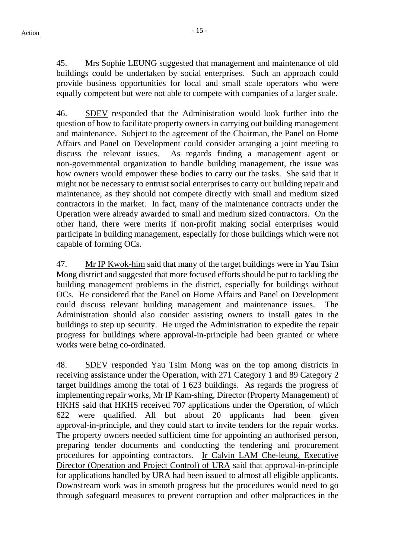45. Mrs Sophie LEUNG suggested that management and maintenance of old buildings could be undertaken by social enterprises. Such an approach could provide business opportunities for local and small scale operators who were equally competent but were not able to compete with companies of a larger scale.

46. SDEV responded that the Administration would look further into the question of how to facilitate property owners in carrying out building management and maintenance. Subject to the agreement of the Chairman, the Panel on Home Affairs and Panel on Development could consider arranging a joint meeting to discuss the relevant issues. As regards finding a management agent or non-governmental organization to handle building management, the issue was how owners would empower these bodies to carry out the tasks. She said that it might not be necessary to entrust social enterprises to carry out building repair and maintenance, as they should not compete directly with small and medium sized contractors in the market. In fact, many of the maintenance contracts under the Operation were already awarded to small and medium sized contractors. On the other hand, there were merits if non-profit making social enterprises would participate in building management, especially for those buildings which were not capable of forming OCs.

47. Mr IP Kwok-him said that many of the target buildings were in Yau Tsim Mong district and suggested that more focused efforts should be put to tackling the building management problems in the district, especially for buildings without OCs. He considered that the Panel on Home Affairs and Panel on Development could discuss relevant building management and maintenance issues. The Administration should also consider assisting owners to install gates in the buildings to step up security. He urged the Administration to expedite the repair progress for buildings where approval-in-principle had been granted or where works were being co-ordinated.

48. SDEV responded Yau Tsim Mong was on the top among districts in receiving assistance under the Operation, with 271 Category 1 and 89 Category 2 target buildings among the total of 1 623 buildings. As regards the progress of implementing repair works, Mr IP Kam-shing, Director (Property Management) of HKHS said that HKHS received 707 applications under the Operation, of which 622 were qualified. All but about 20 applicants had been given approval-in-principle, and they could start to invite tenders for the repair works. The property owners needed sufficient time for appointing an authorised person, preparing tender documents and conducting the tendering and procurement procedures for appointing contractors. Ir Calvin LAM Che-leung, Executive Director (Operation and Project Control) of URA said that approval-in-principle for applications handled by URA had been issued to almost all eligible applicants. Downstream work was in smooth progress but the procedures would need to go through safeguard measures to prevent corruption and other malpractices in the